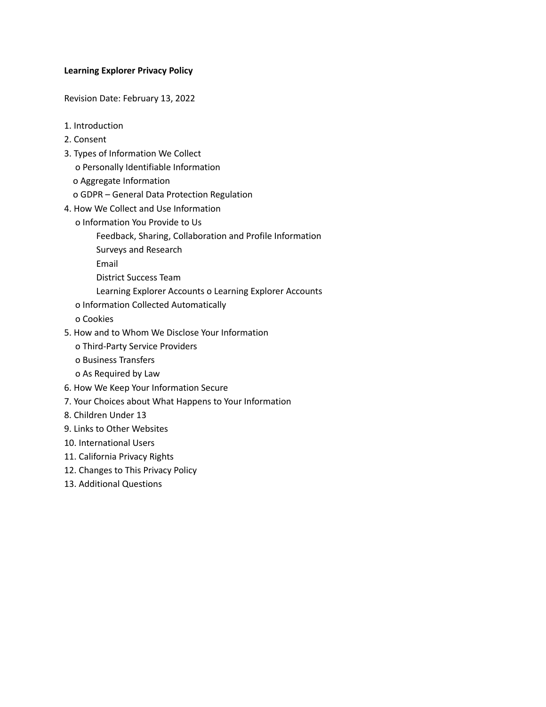## **Learning Explorer Privacy Policy**

Revision Date: February 13, 2022

- 1. Introduction
- 2. Consent
- 3. Types of Information We Collect
	- o Personally Identifiable Information
	- o Aggregate Information
	- o GDPR General Data Protection Regulation
- 4. How We Collect and Use Information
	- o Information You Provide to Us
		- Feedback, Sharing, Collaboration and Profile Information
		- Surveys and Research

Email

- District Success Team
- Learning Explorer Accounts o Learning Explorer Accounts
- o Information Collected Automatically

o Cookies

- 5. How and to Whom We Disclose Your Information
	- o Third-Party Service Providers
	- o Business Transfers
	- o As Required by Law
- 6. How We Keep Your Information Secure
- 7. Your Choices about What Happens to Your Information
- 8. Children Under 13
- 9. Links to Other Websites
- 10. International Users
- 11. California Privacy Rights
- 12. Changes to This Privacy Policy
- 13. Additional Questions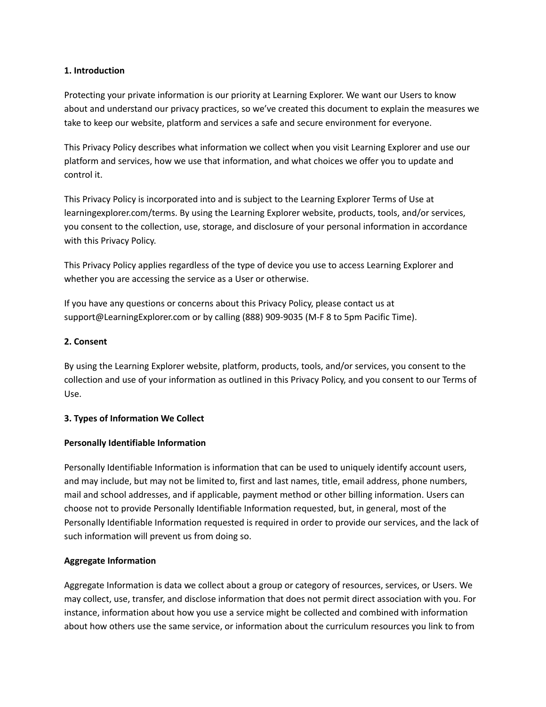## **1. Introduction**

Protecting your private information is our priority at Learning Explorer. We want our Users to know about and understand our privacy practices, so we've created this document to explain the measures we take to keep our website, platform and services a safe and secure environment for everyone.

This Privacy Policy describes what information we collect when you visit Learning Explorer and use our platform and services, how we use that information, and what choices we offer you to update and control it.

This Privacy Policy is incorporated into and is subject to the Learning Explorer Terms of Use at learningexplorer.com/terms. By using the Learning Explorer website, products, tools, and/or services, you consent to the collection, use, storage, and disclosure of your personal information in accordance with this Privacy Policy.

This Privacy Policy applies regardless of the type of device you use to access Learning Explorer and whether you are accessing the service as a User or otherwise.

If you have any questions or concerns about this Privacy Policy, please contact us at support@LearningExplorer.com or by calling (888) 909-9035 (M-F 8 to 5pm Pacific Time).

## **2. Consent**

By using the Learning Explorer website, platform, products, tools, and/or services, you consent to the collection and use of your information as outlined in this Privacy Policy, and you consent to our Terms of Use.

## **3. Types of Information We Collect**

## **Personally Identifiable Information**

Personally Identifiable Information is information that can be used to uniquely identify account users, and may include, but may not be limited to, first and last names, title, email address, phone numbers, mail and school addresses, and if applicable, payment method or other billing information. Users can choose not to provide Personally Identifiable Information requested, but, in general, most of the Personally Identifiable Information requested is required in order to provide our services, and the lack of such information will prevent us from doing so.

## **Aggregate Information**

Aggregate Information is data we collect about a group or category of resources, services, or Users. We may collect, use, transfer, and disclose information that does not permit direct association with you. For instance, information about how you use a service might be collected and combined with information about how others use the same service, or information about the curriculum resources you link to from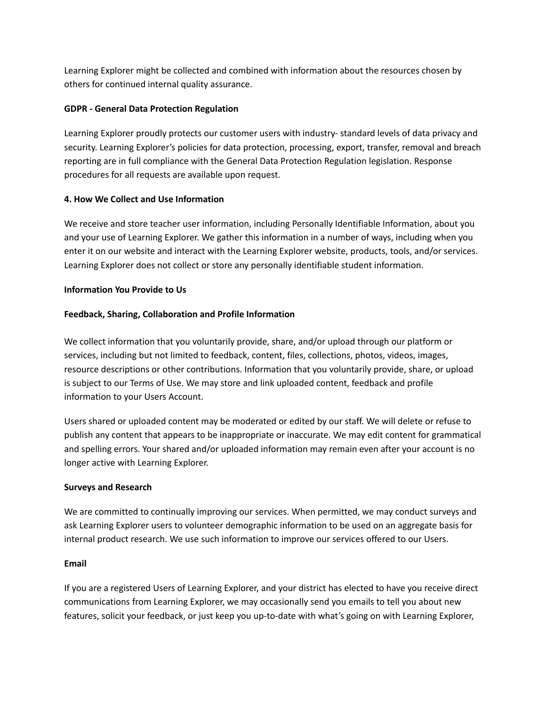Learning Explorer might be collected and combined with information about the resources chosen by others for continued internal quality assurance.

# **GDPR - General Data Protection Regulation**

Learning Explorer proudly protects our customer users with industry- standard levels of data privacy and security. Learning Explorer's policies for data protection, processing, export, transfer, removal and breach reporting are in full compliance with the General Data Protection Regulation legislation. Response procedures for all requests are available upon request.

## **4. How We Collect and Use Information**

We receive and store teacher user information, including Personally Identifiable Information, about you and your use of Learning Explorer. We gather this information in a number of ways, including when you enter it on our website and interact with the Learning Explorer website, products, tools, and/or services. Learning Explorer does not collect or store any personally identifiable student information.

## **Information You Provide to Us**

## **Feedback, Sharing, Collaboration and Profile Information**

We collect information that you voluntarily provide, share, and/or upload through our platform or services, including but not limited to feedback, content, files, collections, photos, videos, images, resource descriptions or other contributions. Information that you voluntarily provide, share, or upload is subject to our Terms of Use. We may store and link uploaded content, feedback and profile information to your Users Account.

Users shared or uploaded content may be moderated or edited by our staff. We will delete or refuse to publish any content that appears to be inappropriate or inaccurate. We may edit content for grammatical and spelling errors. Your shared and/or uploaded information may remain even after your account is no longer active with Learning Explorer.

## **Surveys and Research**

We are committed to continually improving our services. When permitted, we may conduct surveys and ask Learning Explorer users to volunteer demographic information to be used on an aggregate basis for internal product research. We use such information to improve our services offered to our Users.

## **Email**

If you are a registered Users of Learning Explorer, and your district has elected to have you receive direct communications from Learning Explorer, we may occasionally send you emails to tell you about new features, solicit your feedback, or just keep you up-to-date with what's going on with Learning Explorer,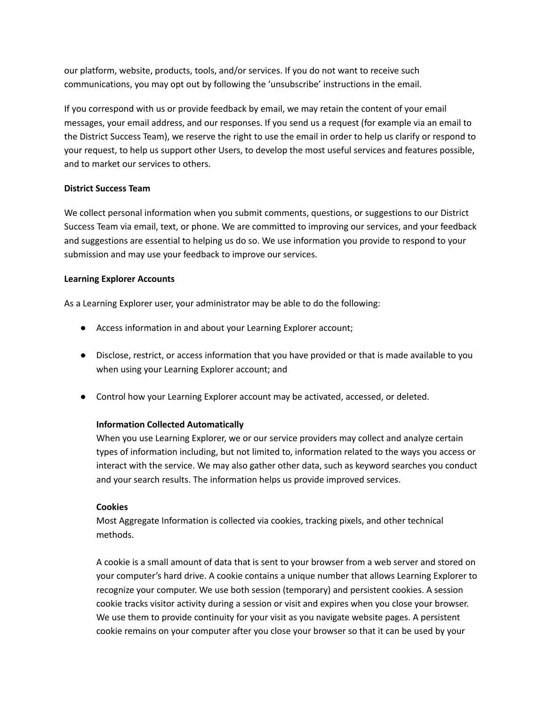our platform, website, products, tools, and/or services. If you do not want to receive such communications, you may opt out by following the 'unsubscribe' instructions in the email.

If you correspond with us or provide feedback by email, we may retain the content of your email messages, your email address, and our responses. If you send us a request (for example via an email to the District Success Team), we reserve the right to use the email in order to help us clarify or respond to your request, to help us support other Users, to develop the most useful services and features possible, and to market our services to others.

## **District Success Team**

We collect personal information when you submit comments, questions, or suggestions to our District Success Team via email, text, or phone. We are committed to improving our services, and your feedback and suggestions are essential to helping us do so. We use information you provide to respond to your submission and may use your feedback to improve our services.

## **Learning Explorer Accounts**

As a Learning Explorer user, your administrator may be able to do the following:

- Access information in and about your Learning Explorer account;
- Disclose, restrict, or access information that you have provided or that is made available to you when using your Learning Explorer account; and
- Control how your Learning Explorer account may be activated, accessed, or deleted.

# **Information Collected Automatically**

When you use Learning Explorer, we or our service providers may collect and analyze certain types of information including, but not limited to, information related to the ways you access or interact with the service. We may also gather other data, such as keyword searches you conduct and your search results. The information helps us provide improved services.

## **Cookies**

Most Aggregate Information is collected via cookies, tracking pixels, and other technical methods.

A cookie is a small amount of data that is sent to your browser from a web server and stored on your computer's hard drive. A cookie contains a unique number that allows Learning Explorer to recognize your computer. We use both session (temporary) and persistent cookies. A session cookie tracks visitor activity during a session or visit and expires when you close your browser. We use them to provide continuity for your visit as you navigate website pages. A persistent cookie remains on your computer after you close your browser so that it can be used by your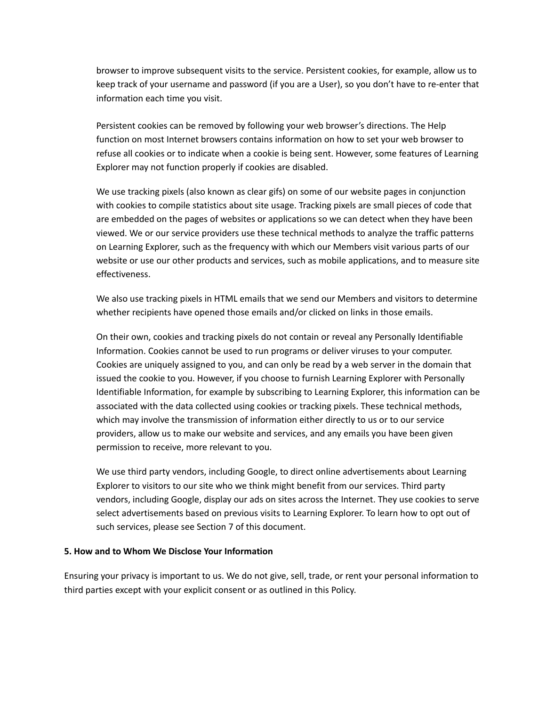browser to improve subsequent visits to the service. Persistent cookies, for example, allow us to keep track of your username and password (if you are a User), so you don't have to re-enter that information each time you visit.

Persistent cookies can be removed by following your web browser's directions. The Help function on most Internet browsers contains information on how to set your web browser to refuse all cookies or to indicate when a cookie is being sent. However, some features of Learning Explorer may not function properly if cookies are disabled.

We use tracking pixels (also known as clear gifs) on some of our website pages in conjunction with cookies to compile statistics about site usage. Tracking pixels are small pieces of code that are embedded on the pages of websites or applications so we can detect when they have been viewed. We or our service providers use these technical methods to analyze the traffic patterns on Learning Explorer, such as the frequency with which our Members visit various parts of our website or use our other products and services, such as mobile applications, and to measure site effectiveness.

We also use tracking pixels in HTML emails that we send our Members and visitors to determine whether recipients have opened those emails and/or clicked on links in those emails.

On their own, cookies and tracking pixels do not contain or reveal any Personally Identifiable Information. Cookies cannot be used to run programs or deliver viruses to your computer. Cookies are uniquely assigned to you, and can only be read by a web server in the domain that issued the cookie to you. However, if you choose to furnish Learning Explorer with Personally Identifiable Information, for example by subscribing to Learning Explorer, this information can be associated with the data collected using cookies or tracking pixels. These technical methods, which may involve the transmission of information either directly to us or to our service providers, allow us to make our website and services, and any emails you have been given permission to receive, more relevant to you.

We use third party vendors, including Google, to direct online advertisements about Learning Explorer to visitors to our site who we think might benefit from our services. Third party vendors, including Google, display our ads on sites across the Internet. They use cookies to serve select advertisements based on previous visits to Learning Explorer. To learn how to opt out of such services, please see Section 7 of this document.

#### **5. How and to Whom We Disclose Your Information**

Ensuring your privacy is important to us. We do not give, sell, trade, or rent your personal information to third parties except with your explicit consent or as outlined in this Policy.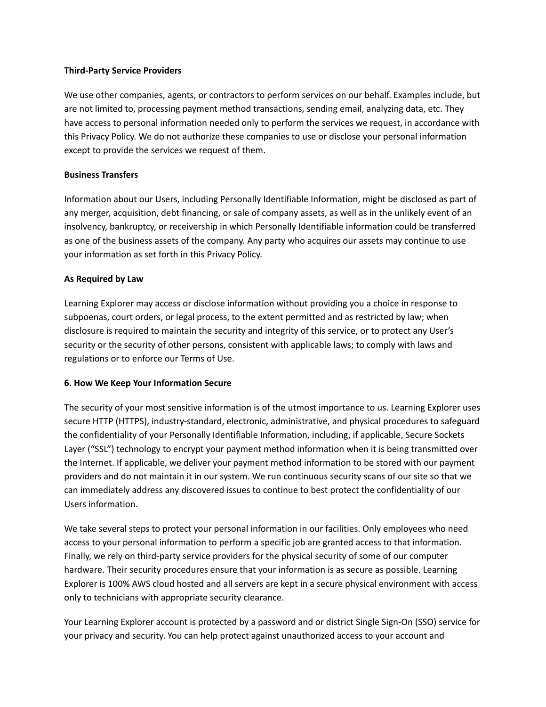### **Third-Party Service Providers**

We use other companies, agents, or contractors to perform services on our behalf. Examples include, but are not limited to, processing payment method transactions, sending email, analyzing data, etc. They have access to personal information needed only to perform the services we request, in accordance with this Privacy Policy. We do not authorize these companies to use or disclose your personal information except to provide the services we request of them.

## **Business Transfers**

Information about our Users, including Personally Identifiable Information, might be disclosed as part of any merger, acquisition, debt financing, or sale of company assets, as well as in the unlikely event of an insolvency, bankruptcy, or receivership in which Personally Identifiable information could be transferred as one of the business assets of the company. Any party who acquires our assets may continue to use your information as set forth in this Privacy Policy.

## **As Required by Law**

Learning Explorer may access or disclose information without providing you a choice in response to subpoenas, court orders, or legal process, to the extent permitted and as restricted by law; when disclosure is required to maintain the security and integrity of this service, or to protect any User's security or the security of other persons, consistent with applicable laws; to comply with laws and regulations or to enforce our Terms of Use.

## **6. How We Keep Your Information Secure**

The security of your most sensitive information is of the utmost importance to us. Learning Explorer uses secure HTTP (HTTPS), industry-standard, electronic, administrative, and physical procedures to safeguard the confidentiality of your Personally Identifiable Information, including, if applicable, Secure Sockets Layer ("SSL") technology to encrypt your payment method information when it is being transmitted over the Internet. If applicable, we deliver your payment method information to be stored with our payment providers and do not maintain it in our system. We run continuous security scans of our site so that we can immediately address any discovered issues to continue to best protect the confidentiality of our Users information.

We take several steps to protect your personal information in our facilities. Only employees who need access to your personal information to perform a specific job are granted access to that information. Finally, we rely on third-party service providers for the physical security of some of our computer hardware. Their security procedures ensure that your information is as secure as possible. Learning Explorer is 100% AWS cloud hosted and all servers are kept in a secure physical environment with access only to technicians with appropriate security clearance.

Your Learning Explorer account is protected by a password and or district Single Sign-On (SSO) service for your privacy and security. You can help protect against unauthorized access to your account and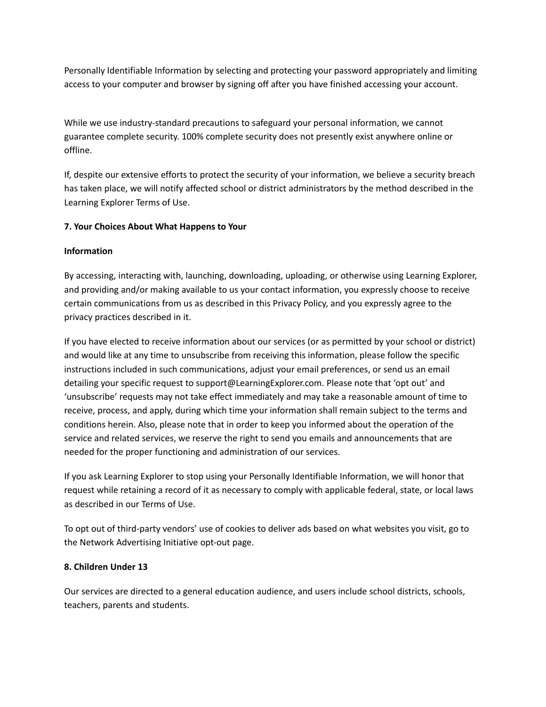Personally Identifiable Information by selecting and protecting your password appropriately and limiting access to your computer and browser by signing off after you have finished accessing your account.

While we use industry-standard precautions to safeguard your personal information, we cannot guarantee complete security. 100% complete security does not presently exist anywhere online or offline.

If, despite our extensive efforts to protect the security of your information, we believe a security breach has taken place, we will notify affected school or district administrators by the method described in the Learning Explorer Terms of Use.

## **7. Your Choices About What Happens to Your**

## **Information**

By accessing, interacting with, launching, downloading, uploading, or otherwise using Learning Explorer, and providing and/or making available to us your contact information, you expressly choose to receive certain communications from us as described in this Privacy Policy, and you expressly agree to the privacy practices described in it.

If you have elected to receive information about our services (or as permitted by your school or district) and would like at any time to unsubscribe from receiving this information, please follow the specific instructions included in such communications, adjust your email preferences, or send us an email detailing your specific request to support@LearningExplorer.com. Please note that 'opt out' and 'unsubscribe' requests may not take effect immediately and may take a reasonable amount of time to receive, process, and apply, during which time your information shall remain subject to the terms and conditions herein. Also, please note that in order to keep you informed about the operation of the service and related services, we reserve the right to send you emails and announcements that are needed for the proper functioning and administration of our services.

If you ask Learning Explorer to stop using your Personally Identifiable Information, we will honor that request while retaining a record of it as necessary to comply with applicable federal, state, or local laws as described in our Terms of Use.

To opt out of third-party vendors' use of cookies to deliver ads based on what websites you visit, go to the Network Advertising Initiative opt-out page.

## **8. Children Under 13**

Our services are directed to a general education audience, and users include school districts, schools, teachers, parents and students.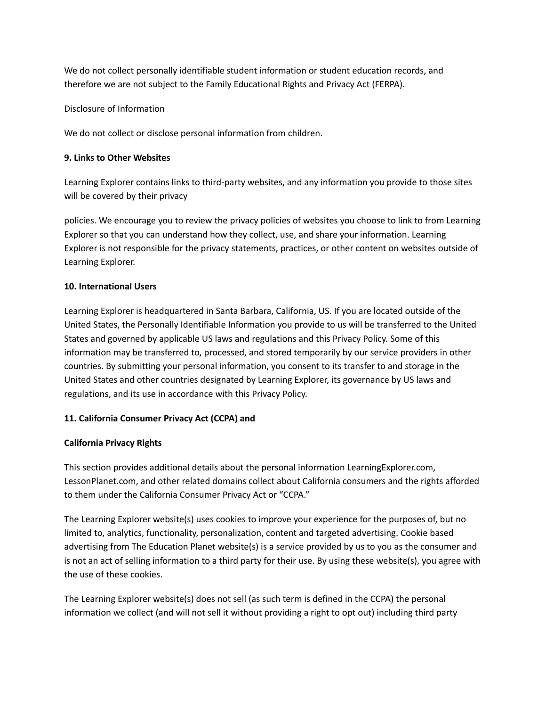We do not collect personally identifiable student information or student education records, and therefore we are not subject to the Family Educational Rights and Privacy Act (FERPA).

Disclosure of Information

We do not collect or disclose personal information from children.

# **9. Links to Other Websites**

Learning Explorer contains links to third-party websites, and any information you provide to those sites will be covered by their privacy

policies. We encourage you to review the privacy policies of websites you choose to link to from Learning Explorer so that you can understand how they collect, use, and share your information. Learning Explorer is not responsible for the privacy statements, practices, or other content on websites outside of Learning Explorer.

## **10. International Users**

Learning Explorer is headquartered in Santa Barbara, California, US. If you are located outside of the United States, the Personally Identifiable Information you provide to us will be transferred to the United States and governed by applicable US laws and regulations and this Privacy Policy. Some of this information may be transferred to, processed, and stored temporarily by our service providers in other countries. By submitting your personal information, you consent to its transfer to and storage in the United States and other countries designated by Learning Explorer, its governance by US laws and regulations, and its use in accordance with this Privacy Policy.

# **11. California Consumer Privacy Act (CCPA) and**

# **California Privacy Rights**

This section provides additional details about the personal information LearningExplorer.com, LessonPlanet.com, and other related domains collect about California consumers and the rights afforded to them under the California Consumer Privacy Act or "CCPA."

The Learning Explorer website(s) uses cookies to improve your experience for the purposes of, but no limited to, analytics, functionality, personalization, content and targeted advertising. Cookie based advertising from The Education Planet website(s) is a service provided by us to you as the consumer and is not an act of selling information to a third party for their use. By using these website(s), you agree with the use of these cookies.

The Learning Explorer website(s) does not sell (as such term is defined in the CCPA) the personal information we collect (and will not sell it without providing a right to opt out) including third party